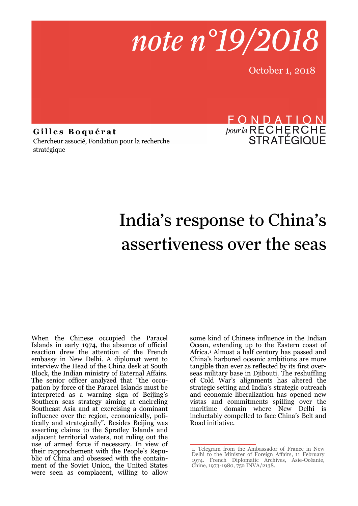note n°19/2018

October 1, 2018

**G i l l e s B o q u é r a t** Chercheur associé, Fondation pour la recherche stratégique

## FONDATION *pour la* RECHERCHE<br>STRATÉGIQUE

# India's response to China's assertiveness over the seas

When the Chinese occupied the Paracel Islands in early 1974, the absence of official reaction drew the attention of the French embassy in New Delhi. A diplomat went to interview the Head of the China desk at South Block, the Indian ministry of External Affairs. The senior officer analyzed that "the occupation by force of the Paracel Islands must be interpreted as a warning sign of Beijing's Southern seas strategy aiming at encircling Southeast Asia and at exercising a dominant influence over the region, economically, politically and strategically". Besides Beijing was asserting claims to the Spratley Islands and adjacent territorial waters, not ruling out the use of armed force if necessary. In view of their rapprochement with the People's Republic of China and obsessed with the containment of the Soviet Union, the United States were seen as complacent, willing to allow

some kind of Chinese influence in the Indian Ocean, extending up to the Eastern coast of Africa.<sup>1</sup> Almost a half century has passed and China's harbored oceanic ambitions are more tangible than ever as reflected by its first overseas military base in Djibouti. The reshuffling of Cold War's alignments has altered the strategic setting and India's strategic outreach and economic liberalization has opened new vistas and commitments spilling over the maritime domain where New Delhi is ineluctably compelled to face China's Belt and Road initiative.

<sup>1.</sup> Telegram from the Ambassador of France in New Delhi to the Minister of Foreign Affairs, 11 February 1974. French Diplomatic Archives, Asie-Océanie, Chine, 1973-1980, 752 INVA/2138.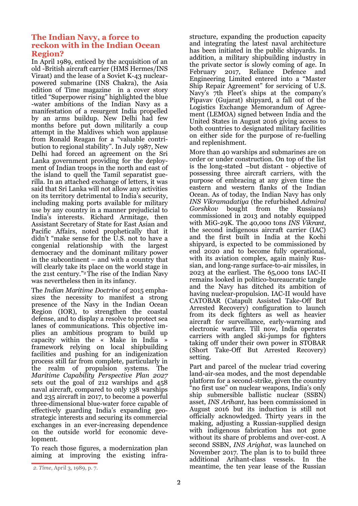#### **The Indian Navy, a force to reckon with in the Indian Ocean Region?**

In April 1989, enticed by the acquisition of an old -British aircraft carrier (HMS Hermes/INS Viraat) and the lease of a Soviet K-43 [nuclear](https://en.wikipedia.org/wiki/Nuclear-powered_submarine)[powered](https://en.wikipedia.org/wiki/Nuclear-powered_submarine) [submarine](https://en.wikipedia.org/wiki/Cruise_missile_submarine) (INS Chakra), the Asia edition of Time magazine in a cover story titled "Superpower rising" highlighted the blue -water ambitions of the Indian Navy as a manifestation of a resurgent India propelled by an arms buildup. New Delhi had few months before put down militarily a coup attempt in the Maldives which won applause from Ronald Reagan for a "valuable contribution to regional stability". In July 1987, New Delhi had forced an agreement on the Sri Lanka government providing for the deployment of Indian troops in the north and east of the island to quell the Tamil separatist guerilla. In an attached exchange of letters, it was said that Sri Lanka will not allow any activities on its territory detrimental to India's security, including making ports available for military use by any country in a manner prejudicial to India's interests. Richard Armitage, then Assistant Secretary of State for East Asian and Pacific Affairs, noted prophetically that it didn't "make sense for the U.S. not to have a congenial relationship with the largest democracy and the dominant military power in the subcontinent – and with a country that will clearly take its place on the world stage in the 21st century." <sup>2</sup>The rise of the Indian Navy was nevertheless then in its infancy.

The *Indian Maritime Doctrine* of 2015 emphasizes the necessity to manifest a strong presence of the Navy in the Indian Ocean Region (IOR), to strengthen the coastal defense, and to display a resolve to protect sea lanes of communications. This objective implies an ambitious program to build up capacity within the « Make in India » framework relying on local shipbuilding facilities and pushing for an indigenization process still far from complete, particularly in the realm of propulsion systems. The *Maritime Capability Perspective Plan 2027* sets out the goal of 212 warships and 458 naval aircraft, compared to only 138 warships and 235 aircraft in 2017, to become a powerful three-dimensional blue-water force capable of effectively guarding India's expanding geostrategic interests and securing its commercial exchanges in an ever-increasing dependence on the outside world for economic development.

To reach those figures, a modernization plan aiming at improving the existing infra-

More than 40 warships and submarines are on order or under construction. On top of the list is the long-stated –but distant - objective of possessing three aircraft carriers, with the purpose of embracing at any given time the eastern and western flanks of the Indian Ocean. As of today, the Indian Navy has only *INS Vikramadatiya* (the refurbished *Admiral Gorshkov* bought from the Russians) commissioned in 2013 and notably equipped with MiG-29K. The 40,000 tons *INS Vikrant*, the second indigenous aircraft carrier (IAC) and the first built in India at the Kochi shipyard, is expected to be commissioned by end 2020 and to become fully operational, with its aviation complex, again mainly Russian, and long-range surface-to-air missiles, in 2023 at the earliest. The 65,000 tons IAC-II remains looked in politico-bureaucratic tangle and the Navy has ditched its ambition of having nuclear-propulsion. IAC-II would have CATOBAR (Catapult Assisted Take-Off But Arrested Recovery) configuration to launch from its deck fighters as well as heavier aircraft for surveillance, early-warning and electronic warfare. Till now, India operates carriers with angled ski-jumps for fighters taking off under their own power in STOBAR (Short Take-Off But Arrested Recovery) setting.

Part and parcel of the nuclear triad covering land-air-sea modes, and the most dependable platform for a second-strike, given the country "no first use" on nuclear weapons, India's only ship submersible ballistic nuclear (SSBN) asset, *INS Arihant*, has been commissioned in August 2016 but its induction is still not officially acknowledged. Thirty years in the making, adjusting a Russian-supplied design with indigenous fabrication has not gone without its share of problems and over-cost. A second [SSBN](http://nationalinterest.org/blog/the-buzz/americas-new-nuclear-missile-submarines-might-have-problem-23976), *INS Arighat*, was launched on November 2017. The plan is to to build three additional Arihant-class vessels. In the *2. Time*, April 3, 1989, p. 7. *2. Time*, April 3, 1989, p. 7.

structure, expanding the production capacity and integrating the latest naval architecture has been initiated in the public shipyards. In addition, a military shipbuilding industry in the private sector is slowly coming of age. In February 2017, Reliance Defence and Engineering Limited entered into a "Master Ship Repair Agreement" for servicing of U.S. Navy's 7th Fleet's ships at the company's Pipavav (Gujarat) shipyard, a fall out of the Logistics Exchange Memorandum of Agreement (LEMOA) signed between India and the United States in August 2016 giving access to both countries to designated military facilities on either side for the purpose of re-fuelling and replenishment.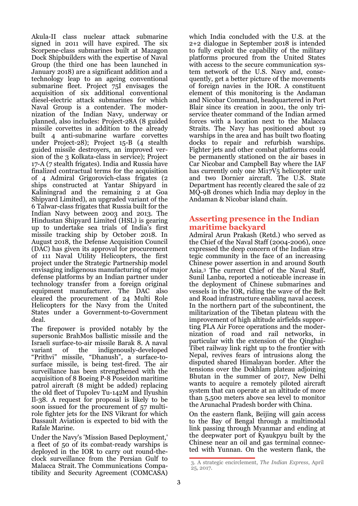Akula-II class nuclear attack submarine signed in 2011 will have expired. The six Scorpene-class submarines built at Mazagon Dock Shipbuilders with the expertise of Naval Group (the third one has been launched in January 2018) are a significant addition and a technology leap to an ageing conventional submarine fleet. Project 75I envisages the acquisition of six additional conventional diesel-[electric](https://en.wikipedia.org/wiki/Diesel-electric) [attack submarines](https://en.wikipedia.org/wiki/Attack_submarine) for which Naval Group is a contender. The modernization of the Indian Navy, underway or planned, also includes: Project-28A (8 guided missile corvettes in addition to the already built 4 anti-submarine warfare corvettes under Project-28); Project 15-B (4 stealth guided missile destroyers, an improved version of the 3 [Kolkata](https://en.wikipedia.org/wiki/Kolkata-class_destroyer)-class in service); Project 17-A (7 stealth frigates). India and Russia have finalized contractual terms for the acquisition of 4 Admiral Grigorovich-class frigates (2 ships constructed at Yantar Shipyard in Kaliningrad and the remaining 2 at Goa Shipyard Limited), an upgraded variant of the 6 Talwar-class frigates that Russia built for the Indian Navy between 2003 and 2013. The Hindustan Shipyard Limited (HSL) is gearing up to undertake sea trials of India's first missile tracking ship by October 2018. In August 2018, the Defense Acquisition Council (DAC) has given its approval for procurement of 111 Naval Utility Helicopters, the first project under the Strategic Partnership model envisaging indigenous manufacturing of major defense platforms by an Indian partner under technology transfer from a foreign original equipment manufacturer. The DAC also cleared the procurement of 24 Multi Role Helicopters for the Navy from the United States under a Government-to-Government deal.

The firepower is provided notably by the supersonic BrahMos ballistic missile and the Israeli surface-to-air missile Barak 8. A naval variant of the indigenously-developed "Prithvi" missile, "Dhanush", a surface-tosurface missile, is being test-fired. The air surveillance has been strengthened with the acquisition of 8 Boeing P-8 Poseidon [maritime](https://en.wikipedia.org/wiki/Maritime_patrol_aircraft)  [patrol aircraft](https://en.wikipedia.org/wiki/Maritime_patrol_aircraft) (8 might be added) replacing the old fleet of Tupolev Tu-142M and Ilyushin Il-38. A request for proposal is likely to be soon issued for the procurement of 57 multirole fighter jets for the INS Vikrant for which Dassault Aviation is expected to bid with the Rafale Marine.

Under the Navy's 'Mission Based Deployment,' a fleet of 50 of its combat-ready warships is deployed in the IOR to carry out round-theclock surveillance from the Persian Gulf to [Malacca Strait.](https://timesofindia.indiatimes.com/topic/Malacca-Strait) The Communications Compatibility and Security Agreement (COMCASA)

which India concluded with the U.S. at the 2+2 dialogue in September 2018 is intended to fully exploit the capability of the military platforms procured from the United States with access to the secure communication system network of the U.S. Navy and, consequently, get a better picture of the movements of foreign navies in the IOR. A constituent element of this monitoring is the Andaman and Nicobar Command, headquartered in Port Blair since its creation in 2001, the only [tri](https://en.wikipedia.org/wiki/Joint_warfare)[service](https://en.wikipedia.org/wiki/Joint_warfare) [theater command](https://en.wikipedia.org/wiki/Theater_%28warfare%29) of the [Indian armed](https://en.wikipedia.org/wiki/Indian_Armed_Forces)  [forces](https://en.wikipedia.org/wiki/Indian_Armed_Forces) with a location next to the Malacca Straits. The Navy has positioned about 19 warships in the area and has built two floating docks to repair and refurbish warships. Fighter jets and other combat platforms could be permanently stationed on the air bases in Car Nicobar and Campbell Bay where the IAF has currently only one Mi17V<sub>5</sub> helicopter unit and two Dornier aircraft. The U.S. State Department has recently cleared the sale of 22 MQ-9B drones which India may deploy in the Andaman & Nicobar island chain.

#### **Asserting presence in the Indian maritime backyard**

Admiral Arun Prakash (Retd.) who served as the [Chief of the Naval Staff](https://en.wikipedia.org/wiki/Chief_of_the_Naval_Staff_%28India%29) (2004-2006), once expressed the deep concern of the Indian strategic community in the face of an increasing Chinese power assertion in and around South Asia.<sup>3</sup> The current Chief of the Naval Staff, Sunil Lanba, reported a noticeable increase in the deployment of Chinese submarines and vessels in the IOR, riding the wave of the Belt and Road infrastructure enabling naval access. In the northern part of the subcontinent, the militarization of the Tibetan plateau with the improvement of high altitude airfields supporting PLA Air Force operations and the modernization of road and rail networks, in particular with the extension of the Qinghai-Tibet railway link right up to the frontier with Nepal, revives fears of intrusions along the disputed shared Himalayan border. After the tensions over the Dokhlam plateau adjoining Bhutan in the summer of 2017, New Delhi wants to acquire a remotely piloted aircraft system that can operate at an altitude of more than 5,500 meters above sea level to monitor the Arunachal Pradesh border with China.

On the eastern flank, Beijing will gain access to the Bay of Bengal through a multimodal link passing through Myanmar and ending at the deepwater port of Kyaukpyu built by the Chinese near an oil and gas terminal connected with Yunnan. On the western flank, the

<sup>3.</sup> A strategic encirclement, *The Indian Express*, April 25, 2017.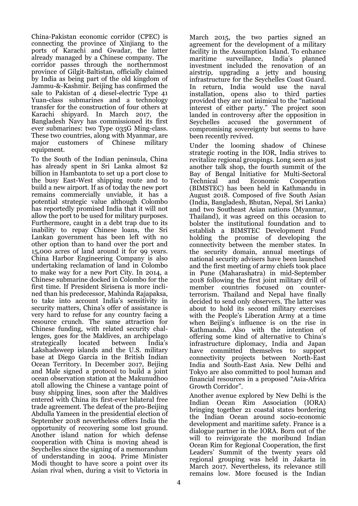China-Pakistan economic corridor (CPEC) is connecting the province of Xinjiang to the ports of Karachi and Gwadar, the latter already managed by a Chinese company. The corridor passes through the northernmost province of Gilgit-Baltistan, officially claimed by India as being part of the old kingdom of Jammu-&-Kashmir. Beijing has confirmed the sale to Pakistan of 4 diesel-electric Type 41 Yuan-class submarines and a technology transfer for the construction of four others at Karachi shipyard. In March 2017, the Bangladesh Navy has commissioned its first ever submarines: two Type 035G Ming-class. These two countries, along with Myanmar, are major customers of Chinese military equipment.

To the South of the Indian peninsula, China has already spent in Sri Lanka almost \$2 billion in Hambantota to set up a port close to the busy East-West shipping route and to build a new airport. If as of today the new port remains commercially unviable, it has a potential strategic value although Colombo has reportedly promised India that it will not allow the port to be used for [military purposes.](http://indianexpress.com/article/world/chinese-military-will-not-be-permitted-at-hambantota-port-says-sri-lankan-ambassador-4508312/) Furthermore, caught in a debt trap due to its inability to repay Chinese loans, the Sri Lankan government has been left with no other option than to hand over the port and 15,000 acres of land around it for 99 years. China Harbor Engineering Company is also undertaking reclamation of land in Colombo to make way for a new Port City. In 2014, a Chinese submarine docked in Colombo for the first time. If President Sirisena is more inclined than his predecessor, Mahinda Rajapaksa, to take into account India's sensitivity in security matters, China's offer of assistance is very hard to refuse for any country facing a resource crunch. The same attraction for Chinese funding, with related security challenges, goes for the Maldives, an archipelago strategically located between India's Lakshadsweep islands and the U.S. military base at Diego Garcia in the British Indian Ocean Territory. In December 2017, Beijing and Male signed a protocol to build a joint ocean observation station at the Makunudhoo atoll allowing the Chinese a vantage point of busy shipping lines, soon after the Maldives entered with China its first-ever bilateral free trade agreement. The defeat of the pro-Beijing Abdulla Yameen in the presidential election of September 2018 nevertheless offers India the opportunity of recovering some lost ground. Another island nation for which defense cooperation with China is moving ahead is Seychelles since the signing of a memorandum of understanding in 2004. Prime Minister Modi thought to have score a point over its Asian rival when, during a visit to Victoria in

March 2015, the two parties signed an agreement for the development of a military facility in the Assumption Island. To enhance maritime surveillance, India's planned investment included the renovation of an airstrip, upgrading a jetty and housing infrastructure for the Seychelles Coast Guard. In return, India would use the naval installation, opens also to third parties provided they are not inimical to the "national interest of either party." The project soon landed in controversy after the opposition in Seychelles accused the government of compromising sovereignty but seems to have been recently revived.

Under the looming shadow of Chinese strategic rooting in the IOR, India strives to revitalize regional groupings. Long seen as just another talk shop, the fourth summit of the Bay of Bengal Initiative for Multi-Sectoral<br>Technical and Economic Cooperation Technical and Economic Cooperation (BIMSTEC) has been held in Kathmandu in August 2018. Composed of five South Asian (India, Bangladesh, Bhutan, Nepal, Sri Lanka) and two Southeast Asian nations (Myanmar, Thailand), it was agreed on this occasion to bolster the institutional foundation and to establish a BIMSTEC Development Fund holding the promise of developing the connectivity between the member states. In the security domain, annual meetings of national security advisers have been launched and the first meeting of army chiefs took place in Pune (Maharashatra) in mid-September 2018 following the first joint military drill of member countries focused on counterterrorism. Thailand and Nepal have finally decided to send only observers. The latter was about to hold its second military exercises with the People's Liberation Army at a time when Beijing's influence is on the rise in Kathmandu. Also with the intention of offering some kind of alternative to China's infrastructure diplomacy, India and Japan have committed themselves to support connectivity projects between North-East India and South-East Asia. New Delhi and Tokyo are also committed to pool human and financial resources in a proposed "Asia-Africa Growth Corridor".

Another avenue explored by New Delhi is the Indian Ocean Rim Association (IORA) bringing together 21 coastal states bordering the Indian Ocean around socio-economic development and maritime safety. France is a dialogue partner in the IORA. Born out of the will to reinvigorate the moribund Indian Ocean Rim for Regional Cooperation, the first Leaders' Summit of the twenty years old regional grouping was held in Jakarta in March 2017. Nevertheless, its relevance still remains low. More focused is the Indian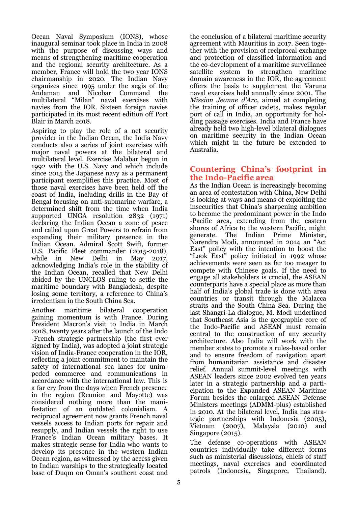Ocean Naval Symposium (IONS), whose inaugural seminar took place in India in 2008 with the purpose of discussing ways and means of strengthening maritime cooperation and the regional security architecture. As a member, France will hold the two year IONS chairmanship in 2020. The Indian Navy organizes since 1995 under the aegis of the [Andaman and Nicobar Command](https://en.wikipedia.org/wiki/Andaman_and_Nicobar_Command) the multilateral "Milan" naval exercises with navies from the IOR. Sixteen foreign navies participated in its most recent edition off [Port](https://en.wikipedia.org/wiki/Port_Blair)  [Blair](https://en.wikipedia.org/wiki/Port_Blair) in March 2018.

Aspiring to play the role of a net security provider in the Indian Ocean, the India Navy conducts also a series of joint exercises with major naval powers at the bilateral and multilateral level. Exercise Malabar begun in 1992 with the U.S. Navy and which include since 2015 the Japanese navy as a permanent participant exemplifies this practice. Most of those naval exercises have been held off the coast of India, including drills in the Bay of Bengal focusing on anti-submarine warfare, a determined shift from the time when India supported [UNGA resolution 2832](http://www.worldlii.org/int/other/UNGA/1971/74.pdf) (1971) declaring the Indian Ocean a zone of peace and called upon Great Powers to refrain from expanding their military presence in the Indian Ocean. Admiral Scott Swift, former U.S. Pacific Fleet commander (2015-2018), while in New Delhi in May 2017, acknowledging India's role in the stability of the Indian Ocean, recalled that New Delhi abided by the [UNCLOS](http://timesofindia.indiatimes.com/topic/UNCLOS) ruling to settle the maritime boundary with [Bangladesh,](http://timesofindia.indiatimes.com/topic/Bangladesh) despite losing some territory, a reference to China's irredentism in the South China Sea.

Another maritime bilateral cooperation gaining momentum is with France. During President Macron's visit to India in March 2018, twenty years after the launch of the Indo -French strategic partnership (the first ever signed by India), was adopted a joint strategic vision of India-France cooperation in the IOR, reflecting a joint commitment to maintain the safety of international sea lanes for unimpeded commerce and communications in accordance with the international law. This is a far cry from the days when French presence in the region (Reunion and Mayotte) was considered nothing more than the manifestation of an outdated colonialism. A reciprocal agreement now grants French naval vessels access to Indian ports for repair and resupply, and Indian vessels the right to use France's Indian Ocean military bases. It makes strategic sense for India who wants to develop its presence in the western Indian Ocean region, as witnessed by the access given to Indian warships to the strategically located base of Duqm on Oman's southern coast and

the conclusion of a bilateral maritime security agreement with Mauritius in 2017. Seen together with the provision of reciprocal exchange and protection of classified information and the co-development of a maritime surveillance satellite system to strengthen maritime domain awareness in the IOR, the agreement offers the basis to supplement the Varuna naval exercises held annually since 2001. The *Mission Jeanne d'Arc*, aimed at completing the training of officer cadets, makes regular port of call in India, an opportunity for holding passage exercises. [India a](http://www.thehindu.com/tag/81/india/?utm=bodytag)nd France have already held two high-level bilateral dialogues on maritime security in the Indian Ocean which might in the future be extended to Australia.

#### **Countering China's footprint in the Indo-Pacific area**

As the Indian Ocean is increasingly becoming an area of contestation with China, New Delhi is looking at ways and means of exploiting the insecurities that China's sharpening ambition to become the predominant power in the Indo -Pacific area, extending from the eastern shores of Africa to the western Pacific, might generate. The Indian Prime Minister, Narendra Modi, announced in 2014 an "Act East" policy with the intention to boost the "Look East" policy initiated in 1992 whose achievements were seen as far too meager to compete with Chinese goals. If the need to engage all stakeholders is crucial, the ASEAN counterparts have a special place as more than half of India's global trade is done with area countries or transit through the Malacca straits and the South China Sea. During the last Shangri-La dialogue, M. Modi underlined that Southeast Asia is the geographic core of the Indo-Pacific and ASEAN must remain central to the construction of any security architecture. Also India will work with the member states to promote a rules-based order and to ensure freedom of navigation apart from humanitarian assistance and disaster relief. Annual summit-level meetings with ASEAN leaders since 2002 evolved ten years later in a strategic partnership and a participation to the Expanded ASEAN Maritime Forum besides the enlarged ASEAN Defense Ministers meetings (ADMM-plus) established in 2010. At the bilateral level, India has strategic partnerships with Indonesia (2005), Vietnam (2007), Malaysia (2010) and Singapore (2015).

The defense co-operations with ASEAN countries individually take different forms such as ministerial discussions, chiefs of staff meetings, naval exercises and coordinated patrols (Indonesia, Singapore, Thailand).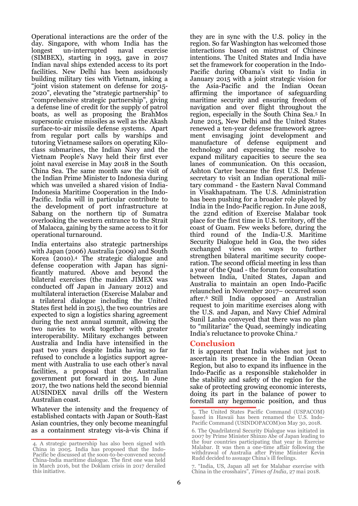Operational interactions are the order of the day. Singapore, with whom India has the longest un-interrupted naval exercise (SIMBEX), starting in 1993, gave in 2017 Indian naval ships extended access to its port facilities. New Delhi has been assiduously building military ties with Vietnam, inking a "joint vision statement on defense for 2015- 2020", elevating the "strategic partnership" to "comprehensive strategic partnership", giving a defense line of credit for the supply of patrol boats, as well as proposing the BrahMos supersonic cruise missiles as well as the Akash surface-to-air missile defense systems. Apart from regular port calls by warships and tutoring Vietnamese sailors on operating Kiloclass submarines, the Indian Navy and the Vietnam People's Navy held their first ever joint naval exercise in May 2018 in the South China Sea. The same month saw the visit of the Indian Prime Minister to Indonesia during which was unveiled a shared vision of India-Indonesia Maritime Cooperation in the Indo-Pacific. India will in particular contribute to the development of port infrastructure at Sabang on the northern tip of Sumatra overlooking the western entrance to the Strait of Malacca, gaining by the same access to it for operational turnaround.

India entertains also strategic partnerships with Japan (2006) Australia (2009) and South Korea (2010).<sup>4</sup> The strategic dialogue and defense cooperation with Japan has significantly matured. Above and beyond the bilateral exercises (the maiden JIMEX was conducted off Japan in January 2012) and multilateral interaction (Exercise Malabar and a trilateral dialogue including the United States first held in 2015), the two countries are expected to sign a logistics sharing agreement during the next annual summit, allowing the two navies to work together with greater interoperability. Military exchanges between Australia and India have intensified in the past two years despite India having so far refused to conclude a [logistics support agree](http://www.thehindu.com/todays-paper/tp-national/now-australia-wants-a-lemoa/article18196919.ece)[ment](http://www.thehindu.com/todays-paper/tp-national/now-australia-wants-a-lemoa/article18196919.ece) with Australia to use each other's naval facilities, a proposal that the Australian government put forward in 2015. In June 2017, the two nations held the second biennial [AUSINDEX naval drills](https://www.naval-technology.com/uncategorised/newsindian-navy-vessels-arrive-in-australia-to-participate-in-ausindex-17-5844382/) off the Western Australian coast.

Whatever the intensity and the frequency of established contacts with Japan or South-East Asian countries, they only become meaningful as a containment strategy vis-à-vis China if

they are in sync with the U.S. policy in the region. So far Washington has welcomed those interactions based on mistrust of Chinese intentions. The United States and India have set the framework for cooperation in the Indo-Pacific during Obama's visit to India in January 2015 with a joint strategic vision for the Asia-Pacific and the Indian Ocean affirming the importance of safeguarding maritime security and ensuring freedom of navigation and over flight throughout the region, especially in the South China Sea.<sup>5</sup> In June 2015, New Delhi and the United States renewed a ten-year defense framework agreement envisaging joint development and manufacture of defense equipment and technology and expressing the resolve to expand military capacities to secure the sea lanes of communication. On this occasion, Ashton Carter became the first U.S. Defense secretary to visit an Indian operational military command - the Eastern Naval Command in Visakhapatnam. The U.S. Administration has been pushing for a broader role played by India in the Indo-Pacific region. In June 2018, the 22nd edition of Exercise Malabar took place for the first time in U.S. territory, off the coast of Guam. Few weeks before, during the third round of the India-[U.S. Maritime](https://timesofindia.indiatimes.com/topic/India-US-Maritime-Security-Dialogue)  [Security Dialogue](https://timesofindia.indiatimes.com/topic/India-US-Maritime-Security-Dialogue) held in Goa, the two sides exchanged views on ways to further strengthen bilateral maritime security cooperation. The second official meeting in less than a year of the Quad - the forum for consultation between India, United States, Japan and Australia to maintain an open Indo-Pacific relaunched in November 2017– occurred soon after.6 Still India opposed an Australian request to join maritime exercises along with the U.S. and Japan, and Navy Chief Admiral Sunil Lanba conveyed that there was no plan to "militarize" the Quad, seemingly indicating India's reluctance to provoke China.<sup>7</sup>

#### **Conclusion**

It is apparent that India wishes not just to ascertain its presence in the Indian Ocean Region, but also to expand its influence in the Indo-Pacific as a responsible stakeholder in the stability and safety of the region for the sake of protecting growing economic interests, doing its part in the balance of power to forestall any hegemonic position, and thus

7. "India, US, Japan all set for Malabar exercise with China in the crosshairs", *Times of India*, 27 mai 2018.

<sup>4.</sup> A strategic partnership has also been signed with China in 2005. India has proposed that the Indo-Pacific be discussed at the soon-to-be-convened second China-India maritime dialogue. The first one was held in March 2016, but the Doklam crisis in 2017 derailed this initiative.

<sup>5.</sup> The United States Pacific Command (USPACOM) based in Hawaii has been renamed the U.S. Indo-Pacific Command (USINDOPACOM)on May 30, 2018.

<sup>6.</sup> The Quadrilateral Security Dialogue was initiated in 2007 by Prime Minister [Shinzo Abe o](https://en.wikipedia.org/wiki/Shinzo_Abe)f Japan leading to the four countries participating that year in [Exercise](https://en.wikipedia.org/wiki/Exercise_Malabar#2007)  [Malabar.](https://en.wikipedia.org/wiki/Exercise_Malabar#2007) It was then a one-time affair following the withdrawal of Australia after Prime Minister [Kevin](https://en.wikipedia.org/wiki/Kevin_Rudd)  [Rudd d](https://en.wikipedia.org/wiki/Kevin_Rudd)ecided to assuage China's ill feelings.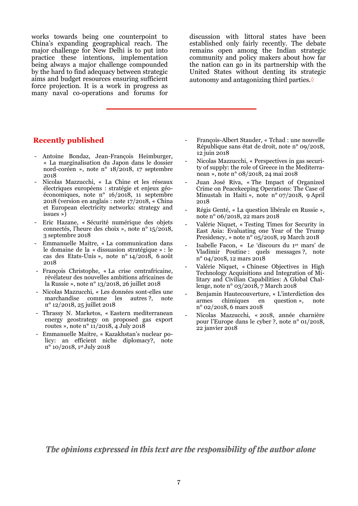works towards being one counterpoint to China's expanding geographical reach. The major challenge for New Delhi is to put into practice these intentions, implementation being always a major challenge compounded by the hard to find adequacy between strategic aims and budget resources ensuring sufficient force projection. It is a work in progress as many naval co-operations and forums for

discussion with littoral states have been established only fairly recently. The debate remains open among the Indian strategic community and policy makers about how far the nation can go in its partnership with the United States without denting its strategic autonomy and antagonizing third parties. $\diamond$ 

#### **Recently published**

- Antoine Bondaz, Jean-François Heimburger, « La marginalisation du Japon dans le dossier nord-coréen », note n° 18/2018, 17 septembre 2018
- Nicolas Mazzucchi, « La Chine et les réseaux électriques européens : stratégie et enjeux géoéconomiques, note n° 16/2018, 11 septembre 2018 (version en anglais : note 17/2018, « China et European electricity networks: strategy and issues »)
- Eric Hazane, « Sécurité numérique des objets connectés, l'heure des choix », note n° 15/2018, 3 septembre 2018
- Emmanuelle Maitre, « La communication dans le domaine de la « dissuasion stratégique » : le cas des Etats-Unis », note n° 14/2018, 6 août 2018
- François Christophe, « La crise centrafricaine, révélateur des nouvelles ambitions africaines de la Russie », note n° 13/2018, 26 juillet 2018
- Nicolas Mazzucchi, « Les données sont-elles une marchandise comme les autres ?, note n° 12/2018, 25 juillet 2018
- Thrassy N. Marketos, « Eastern mediterranean energy geostrategy on proposed gas export routes », note n° 11/2018, 4 July 2018
- Emmanuelle Maitre, « Kazakhstan's nuclear policy: an efficient niche diplomacy?, note n° 10/2018, 1st July 2018
- François-Albert Stauder, « Tchad : une nouvelle République sans état de droit, note n° 09/2018, 12 juin 2018
- Nicolas Mazzucchi, « Perspectives in gas security of supply: the role of Greece in the Mediterranean », note n° 08/2018, 24 mai 2018
- Juan José Riva, « The Impact of Organized Crime on Peacekeeping Operations: The Case of Minustah in Haiti », note n° 07/2018, 9 April 2018
- Régis Genté, « La question libérale en Russie », note n° 06/2018, 22 mars 2018
- Valérie Niquet, « Testing Times for Security in East Asia: Evaluating one Year of the Trump Presidency, » note n° 05/2018, 19 March 2018
- Isabelle Facon, « Le 'discours du 1er mars' de Vladimir Poutine : quels messages ?, note n° 04/2018, 12 mars 2018
- Valérie Niquet, « Chinese Objectives in High Technology Acquisitions and Integration of Military and Civilian Capabilities: A Global Challenge, note n° 03/2018, 7 March 2018
- Benjamin Hautecouverture, « L'interdiction des armes chimiques en question », note n° 02/2018, 6 mars 2018
- Nicolas Mazzucchi, « 2018, année charnière pour l'Europe dans le cyber ?, note n° 01/2018, 22 janvier 2018

The opinions expressed in this text are the responsibility of the author alone